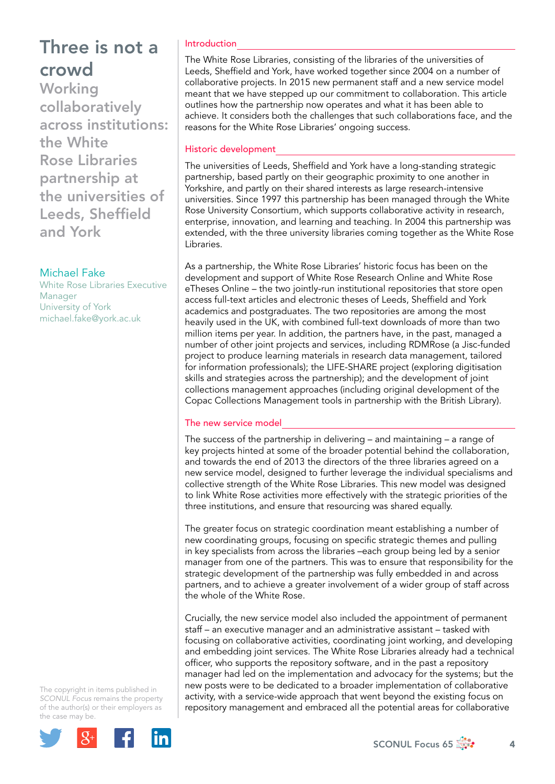**Working** collaboratively across institutions: the White Rose Libraries partnership at the universities of Leeds, Sheffield and York

## Michael Fake

White Rose Libraries Executive Manager University of York [michael.fake@york.ac.uk](mailto:michael.fake@york.ac.uk)

The copyright in items published in *SCONUL Focus* remains the property of the author(s) or their employers as the case may be.



### Introduction

The White Rose Libraries, consisting of the libraries of the universities of Leeds, Sheffield and York, have worked together since 2004 on a number of collaborative projects. In 2015 new permanent staff and a new service model meant that we have stepped up our commitment to collaboration. This article outlines how the partnership now operates and what it has been able to achieve. It considers both the challenges that such collaborations face, and the reasons for the White Rose Libraries' ongoing success.

### Historic development

The universities of Leeds, Sheffield and York have a long-standing strategic partnership, based partly on their geographic proximity to one another in Yorkshire, and partly on their shared interests as large research-intensive universities. Since 1997 this partnership has been managed through the White Rose University Consortium, which supports collaborative activity in research, enterprise, innovation, and learning and teaching. In 2004 this partnership was extended, with the three university libraries coming together as the White Rose Libraries.

As a partnership, the White Rose Libraries' historic focus has been on the development and support of White Rose Research Online and White Rose eTheses Online – the two jointly-run institutional repositories that store open access full-text articles and electronic theses of Leeds, Sheffield and York academics and postgraduates. The two repositories are among the most heavily used in the UK, with combined full-text downloads of more than two million items per year. In addition, the partners have, in the past, managed a number of other joint projects and services, including RDMRose (a Jisc-funded project to produce learning materials in research data management, tailored for information professionals); the LIFE-SHARE project (exploring digitisation skills and strategies across the partnership); and the development of joint collections management approaches (including original development of the Copac Collections Management tools in partnership with the British Library).

### The new service model

The success of the partnership in delivering – and maintaining – a range of key projects hinted at some of the broader potential behind the collaboration, and towards the end of 2013 the directors of the three libraries agreed on a new service model, designed to further leverage the individual specialisms and collective strength of the White Rose Libraries. This new model was designed to link White Rose activities more effectively with the strategic priorities of the three institutions, and ensure that resourcing was shared equally.

The greater focus on strategic coordination meant establishing a number of new coordinating groups, focusing on specific strategic themes and pulling in key specialists from across the libraries –each group being led by a senior manager from one of the partners. This was to ensure that responsibility for the strategic development of the partnership was fully embedded in and across partners, and to achieve a greater involvement of a wider group of staff across the whole of the White Rose.

Crucially, the new service model also included the appointment of permanent staff – an executive manager and an administrative assistant – tasked with focusing on collaborative activities, coordinating joint working, and developing and embedding joint services. The White Rose Libraries already had a technical officer, who supports the repository software, and in the past a repository manager had led on the implementation and advocacy for the systems; but the new posts were to be dedicated to a broader implementation of collaborative activity, with a service-wide approach that went beyond the existing focus on repository management and embraced all the potential areas for collaborative

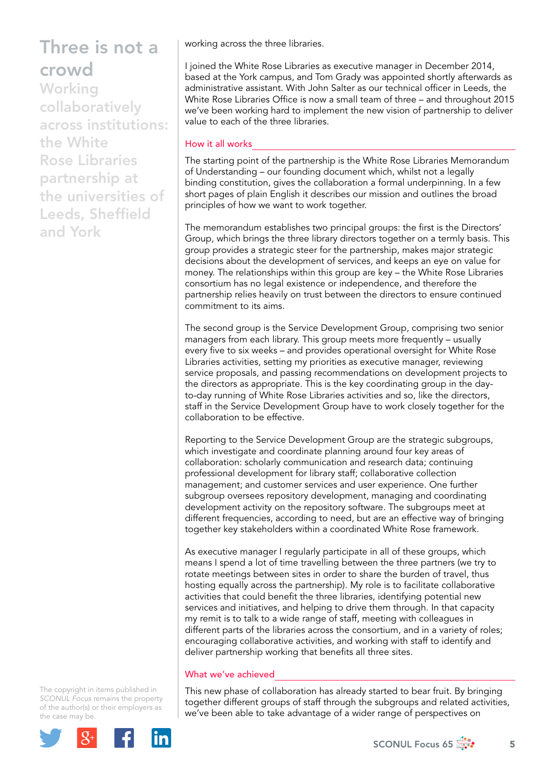**Working** collaboratively across institutions: the White Rose Libraries partnership at the universities of Leeds, Sheffield and York

working across the three libraries.

I joined the White Rose Libraries as executive manager in December 2014, based at the York campus, and Tom Grady was appointed shortly afterwards as administrative assistant. With John Salter as our technical officer in Leeds, the White Rose Libraries Office is now a small team of three – and throughout 2015 we've been working hard to implement the new vision of partnership to deliver value to each of the three libraries.

### How it all works

The starting point of the partnership is the White Rose Libraries Memorandum of Understanding – our founding document which, whilst not a legally binding constitution, gives the collaboration a formal underpinning. In a few short pages of plain English it describes our mission and outlines the broad principles of how we want to work together.

The memorandum establishes two principal groups: the first is the Directors' Group, which brings the three library directors together on a termly basis. This group provides a strategic steer for the partnership, makes major strategic decisions about the development of services, and keeps an eye on value for money. The relationships within this group are key – the White Rose Libraries consortium has no legal existence or independence, and therefore the partnership relies heavily on trust between the directors to ensure continued commitment to its aims.

The second group is the Service Development Group, comprising two senior managers from each library. This group meets more frequently – usually every five to six weeks – and provides operational oversight for White Rose Libraries activities, setting my priorities as executive manager, reviewing service proposals, and passing recommendations on development projects to the directors as appropriate. This is the key coordinating group in the dayto-day running of White Rose Libraries activities and so, like the directors, staff in the Service Development Group have to work closely together for the collaboration to be effective.

Reporting to the Service Development Group are the strategic subgroups, which investigate and coordinate planning around four key areas of collaboration: scholarly communication and research data; continuing professional development for library staff; collaborative collection management; and customer services and user experience. One further subgroup oversees repository development, managing and coordinating development activity on the repository software. The subgroups meet at different frequencies, according to need, but are an effective way of bringing together key stakeholders within a coordinated White Rose framework.

As executive manager I regularly participate in all of these groups, which means I spend a lot of time travelling between the three partners (we try to rotate meetings between sites in order to share the burden of travel, thus hosting equally across the partnership). My role is to facilitate collaborative activities that could benefit the three libraries, identifying potential new services and initiatives, and helping to drive them through. In that capacity my remit is to talk to a wide range of staff, meeting with colleagues in different parts of the libraries across the consortium, and in a variety of roles; encouraging collaborative activities, and working with staff to identify and deliver partnership working that benefits all three sites.

#### What we've achieved

This new phase of collaboration has already started to bear fruit. By bringing together different groups of staff through the subgroups and related activities, we've been able to take advantage of a wider range of perspectives on

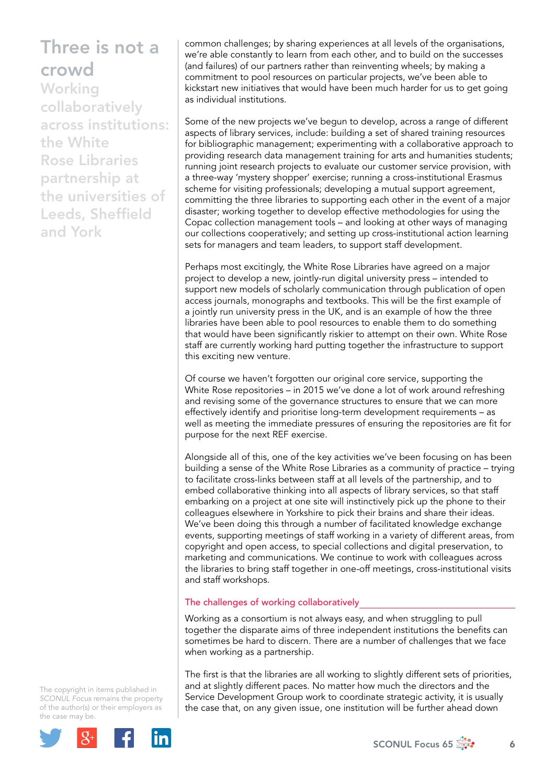**Working** collaboratively across institutions: the White Rose Libraries partnership at the universities of Leeds, Sheffield and York

common challenges; by sharing experiences at all levels of the organisations, we're able constantly to learn from each other, and to build on the successes (and failures) of our partners rather than reinventing wheels; by making a commitment to pool resources on particular projects, we've been able to kickstart new initiatives that would have been much harder for us to get going as individual institutions.

Some of the new projects we've begun to develop, across a range of different aspects of library services, include: building a set of shared training resources for bibliographic management; experimenting with a collaborative approach to providing research data management training for arts and humanities students; running joint research projects to evaluate our customer service provision, with a three-way 'mystery shopper' exercise; running a cross-institutional Erasmus scheme for visiting professionals; developing a mutual support agreement, committing the three libraries to supporting each other in the event of a major disaster; working together to develop effective methodologies for using the Copac collection management tools – and looking at other ways of managing our collections cooperatively; and setting up cross-institutional action learning sets for managers and team leaders, to support staff development.

Perhaps most excitingly, the White Rose Libraries have agreed on a major project to develop a new, jointly-run digital university press – intended to support new models of scholarly communication through publication of open access journals, monographs and textbooks. This will be the first example of a jointly run university press in the UK, and is an example of how the three libraries have been able to pool resources to enable them to do something that would have been significantly riskier to attempt on their own. White Rose staff are currently working hard putting together the infrastructure to support this exciting new venture.

Of course we haven't forgotten our original core service, supporting the White Rose repositories – in 2015 we've done a lot of work around refreshing and revising some of the governance structures to ensure that we can more effectively identify and prioritise long-term development requirements – as well as meeting the immediate pressures of ensuring the repositories are fit for purpose for the next REF exercise.

Alongside all of this, one of the key activities we've been focusing on has been building a sense of the White Rose Libraries as a community of practice – trying to facilitate cross-links between staff at all levels of the partnership, and to embed collaborative thinking into all aspects of library services, so that staff embarking on a project at one site will instinctively pick up the phone to their colleagues elsewhere in Yorkshire to pick their brains and share their ideas. We've been doing this through a number of facilitated knowledge exchange events, supporting meetings of staff working in a variety of different areas, from copyright and open access, to special collections and digital preservation, to marketing and communications. We continue to work with colleagues across the libraries to bring staff together in one-off meetings, cross-institutional visits and staff workshops.

### The challenges of working collaboratively

Working as a consortium is not always easy, and when struggling to pull together the disparate aims of three independent institutions the benefits can sometimes be hard to discern. There are a number of challenges that we face when working as a partnership.

The first is that the libraries are all working to slightly different sets of priorities, and at slightly different paces. No matter how much the directors and the Service Development Group work to coordinate strategic activity, it is usually the case that, on any given issue, one institution will be further ahead down

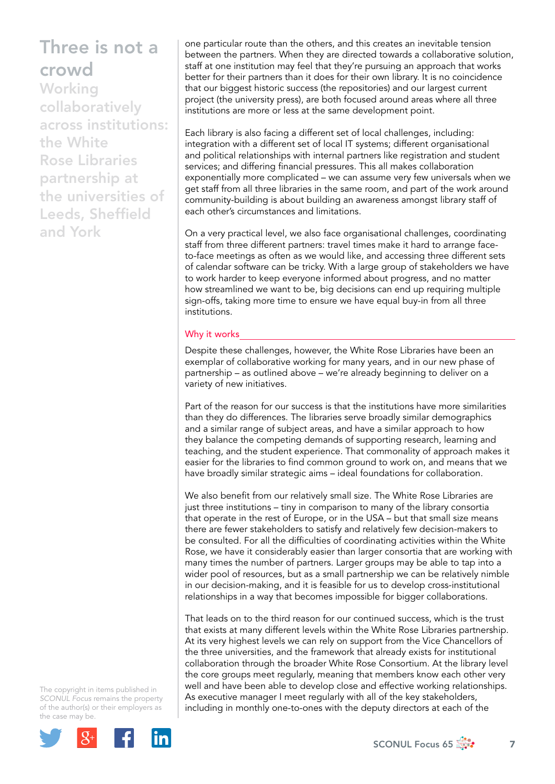**Working** collaboratively across institutions: the White Rose Libraries partnership at the universities of Leeds, Sheffield and York

one particular route than the others, and this creates an inevitable tension between the partners. When they are directed towards a collaborative solution, staff at one institution may feel that they're pursuing an approach that works better for their partners than it does for their own library. It is no coincidence that our biggest historic success (the repositories) and our largest current project (the university press), are both focused around areas where all three institutions are more or less at the same development point.

Each library is also facing a different set of local challenges, including: integration with a different set of local IT systems; different organisational and political relationships with internal partners like registration and student services; and differing financial pressures. This all makes collaboration exponentially more complicated – we can assume very few universals when we get staff from all three libraries in the same room, and part of the work around community-building is about building an awareness amongst library staff of each other's circumstances and limitations.

On a very practical level, we also face organisational challenges, coordinating staff from three different partners: travel times make it hard to arrange faceto-face meetings as often as we would like, and accessing three different sets of calendar software can be tricky. With a large group of stakeholders we have to work harder to keep everyone informed about progress, and no matter how streamlined we want to be, big decisions can end up requiring multiple sign-offs, taking more time to ensure we have equal buy-in from all three institutions.

#### Why it works

Despite these challenges, however, the White Rose Libraries have been an exemplar of collaborative working for many years, and in our new phase of partnership – as outlined above – we're already beginning to deliver on a variety of new initiatives.

Part of the reason for our success is that the institutions have more similarities than they do differences. The libraries serve broadly similar demographics and a similar range of subject areas, and have a similar approach to how they balance the competing demands of supporting research, learning and teaching, and the student experience. That commonality of approach makes it easier for the libraries to find common ground to work on, and means that we have broadly similar strategic aims – ideal foundations for collaboration.

We also benefit from our relatively small size. The White Rose Libraries are just three institutions – tiny in comparison to many of the library consortia that operate in the rest of Europe, or in the USA – but that small size means there are fewer stakeholders to satisfy and relatively few decision-makers to be consulted. For all the difficulties of coordinating activities within the White Rose, we have it considerably easier than larger consortia that are working with many times the number of partners. Larger groups may be able to tap into a wider pool of resources, but as a small partnership we can be relatively nimble in our decision-making, and it is feasible for us to develop cross-institutional relationships in a way that becomes impossible for bigger collaborations.

That leads on to the third reason for our continued success, which is the trust that exists at many different levels within the White Rose Libraries partnership. At its very highest levels we can rely on support from the Vice Chancellors of the three universities, and the framework that already exists for institutional collaboration through the broader White Rose Consortium. At the library level the core groups meet regularly, meaning that members know each other very well and have been able to develop close and effective working relationships. As executive manager I meet regularly with all of the key stakeholders, including in monthly one-to-ones with the deputy directors at each of the